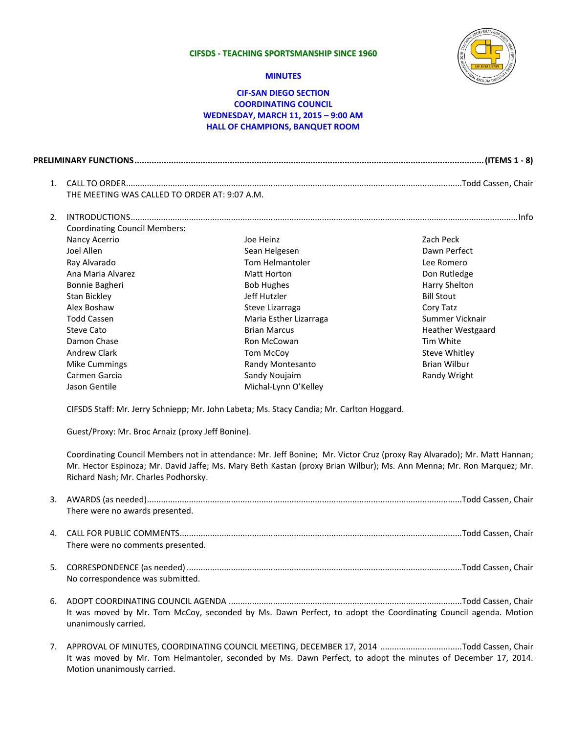#### **CIFSDS - TEACHING SPORTSMANSHIP SINCE 1960**



Cory Tatz

Tim White Steve Whitley Brian Wilbur Randy Wright

Summer Vicknair Heather Westgaard

### **MINUTES**

## **CIF-SAN DIEGO SECTION COORDINATING COUNCIL WEDNESDAY, MARCH 11, 2015 – 9:00 AM HALL OF CHAMPIONS, BANQUET ROOM**

|  | THE MEETING WAS CALLED TO ORDER AT: 9:07 A.M. |  |
|--|-----------------------------------------------|--|

2. INTRODUCTIONS......................................................................................................................................................................Info Chair Coordinating Council Members: Nancy Acerrio Joel Allen Ray Alvarado Ana Maria Alvarez Bonnie Bagheri Stan Bickley Joe Heinz Sean Helgesen Tom Helmantoler Matt Horton Bob Hughes Jeff Hutzler Zach Peck Dawn Perfect Lee Romero Don Rutledge Harry Shelton Bill Stout

> Steve Lizarraga Maria Esther Lizarraga

Brian Marcus Ron McCowan Tom McCoy Randy Montesanto Sandy Noujaim Michal-Lynn O'Kelley

CIFSDS Staff: Mr. Jerry Schniepp; Mr. John Labeta; Ms. Stacy Candia; Mr. Carlton Hoggard.

Alex Boshaw Todd Cassen Steve Cato Damon Chase Andrew Clark Mike Cummings Carmen Garcia Jason Gentile

Guest/Proxy: Mr. Broc Arnaiz (proxy Jeff Bonine).

Coordinating Council Members not in attendance: Mr. Jeff Bonine; Mr. Victor Cruz (proxy Ray Alvarado); Mr. Matt Hannan; Mr. Hector Espinoza; Mr. David Jaffe; Ms. Mary Beth Kastan (proxy Brian Wilbur); Ms. Ann Menna; Mr. Ron Marquez; Mr. Richard Nash; Mr. Charles Podhorsky.

|    | There were no awards presented.                                                                                                       |
|----|---------------------------------------------------------------------------------------------------------------------------------------|
|    | There were no comments presented.                                                                                                     |
|    | No correspondence was submitted.                                                                                                      |
| 6. | It was moved by Mr. Tom McCoy, seconded by Ms. Dawn Perfect, to adopt the Coordinating Council agenda. Motion<br>unanimously carried. |

7. APPROVAL OF MINUTES, COORDINATING COUNCIL MEETING, DECEMBER 17, 2014 ...................................Todd Cassen, Chair It was moved by Mr. Tom Helmantoler, seconded by Ms. Dawn Perfect, to adopt the minutes of December 17, 2014. Motion unanimously carried.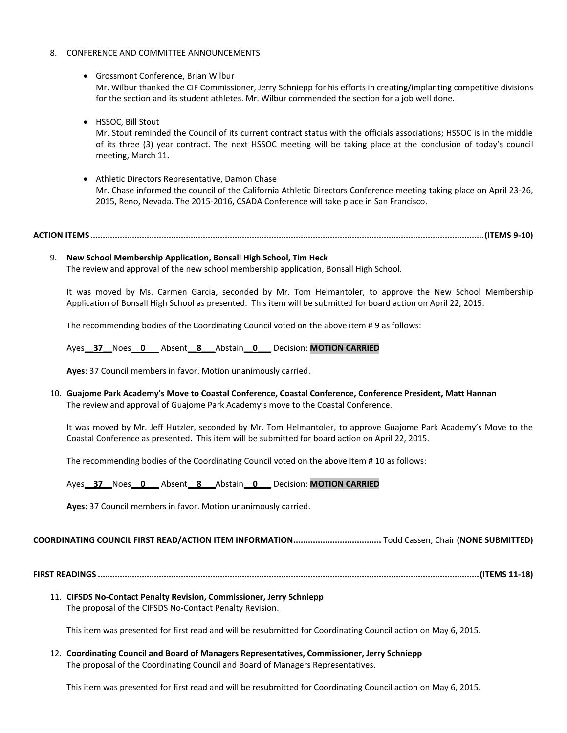#### 8. CONFERENCE AND COMMITTEE ANNOUNCEMENTS

- Grossmont Conference, Brian Wilbur Mr. Wilbur thanked the CIF Commissioner, Jerry Schniepp for his efforts in creating/implanting competitive divisions for the section and its student athletes. Mr. Wilbur commended the section for a job well done.
- HSSOC, Bill Stout Mr. Stout reminded the Council of its current contract status with the officials associations; HSSOC is in the middle of its three (3) year contract. The next HSSOC meeting will be taking place at the conclusion of today's council meeting, March 11.
- Athletic Directors Representative, Damon Chase Mr. Chase informed the council of the California Athletic Directors Conference meeting taking place on April 23-26, 2015, Reno, Nevada. The 2015-2016, CSADA Conference will take place in San Francisco.

## **ACTION ITEMS .................................................................................................................................................................(ITEMS 9-10)**

### 9. **New School Membership Application, Bonsall High School, Tim Heck**

The review and approval of the new school membership application, Bonsall High School.

It was moved by Ms. Carmen Garcia, seconded by Mr. Tom Helmantoler, to approve the New School Membership Application of Bonsall High School as presented. This item will be submitted for board action on April 22, 2015.

The recommending bodies of the Coordinating Council voted on the above item # 9 as follows:

Ayes**\_\_37\_\_**Noes\_\_**0**\_\_\_ Absent**\_\_8\_\_\_**Abstain**\_\_0\_\_\_** Decision: **MOTION CARRIED**

**Ayes**: 37 Council members in favor. Motion unanimously carried.

10. **Guajome Park Academy's Move to Coastal Conference, Coastal Conference, Conference President, Matt Hannan** The review and approval of Guajome Park Academy's move to the Coastal Conference.

It was moved by Mr. Jeff Hutzler, seconded by Mr. Tom Helmantoler, to approve Guajome Park Academy's Move to the Coastal Conference as presented. This item will be submitted for board action on April 22, 2015.

The recommending bodies of the Coordinating Council voted on the above item # 10 as follows:

Ayes**\_\_37\_\_**Noes\_\_**0**\_\_\_ Absent**\_\_8\_\_\_**Abstain**\_\_0\_\_\_** Decision: **MOTION CARRIED**

**Ayes**: 37 Council members in favor. Motion unanimously carried.

### **COORDINATING COUNCIL FIRST READ/ACTION ITEM INFORMATION....................................** Todd Cassen, Chair **(NONE SUBMITTED)**

**FIRST READINGS ............................................................................................................................................................(ITEMS 11-18)**

11. **CIFSDS No-Contact Penalty Revision, Commissioner, Jerry Schniepp**  The proposal of the CIFSDS No-Contact Penalty Revision.

This item was presented for first read and will be resubmitted for Coordinating Council action on May 6, 2015.

12. **Coordinating Council and Board of Managers Representatives, Commissioner, Jerry Schniepp**  The proposal of the Coordinating Council and Board of Managers Representatives.

This item was presented for first read and will be resubmitted for Coordinating Council action on May 6, 2015.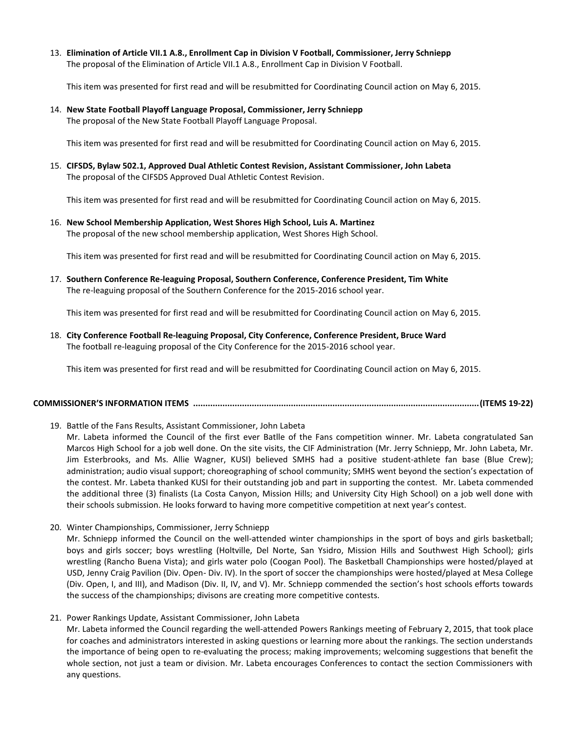13. **Elimination of Article VII.1 A.8., Enrollment Cap in Division V Football, Commissioner, Jerry Schniepp**  The proposal of the Elimination of Article VII.1 A.8., Enrollment Cap in Division V Football.

This item was presented for first read and will be resubmitted for Coordinating Council action on May 6, 2015.

14. **New State Football Playoff Language Proposal, Commissioner, Jerry Schniepp**  The proposal of the New State Football Playoff Language Proposal.

This item was presented for first read and will be resubmitted for Coordinating Council action on May 6, 2015.

15. **CIFSDS, Bylaw 502.1, Approved Dual Athletic Contest Revision, Assistant Commissioner, John Labeta** The proposal of the CIFSDS Approved Dual Athletic Contest Revision.

This item was presented for first read and will be resubmitted for Coordinating Council action on May 6, 2015.

16. **New School Membership Application, West Shores High School, Luis A. Martinez** The proposal of the new school membership application, West Shores High School.

This item was presented for first read and will be resubmitted for Coordinating Council action on May 6, 2015.

17. **Southern Conference Re-leaguing Proposal, Southern Conference, Conference President, Tim White**  The re-leaguing proposal of the Southern Conference for the 2015-2016 school year.

This item was presented for first read and will be resubmitted for Coordinating Council action on May 6, 2015.

18. **City Conference Football Re-leaguing Proposal, City Conference, Conference President, Bruce Ward** The football re-leaguing proposal of the City Conference for the 2015-2016 school year.

This item was presented for first read and will be resubmitted for Coordinating Council action on May 6, 2015.

## **COMMISSIONER'S INFORMATION ITEMS .....................................................................................................................(ITEMS 19-22)**

19. Battle of the Fans Results, Assistant Commissioner, John Labeta

Mr. Labeta informed the Council of the first ever Batlle of the Fans competition winner. Mr. Labeta congratulated San Marcos High School for a job well done. On the site visits, the CIF Administration (Mr. Jerry Schniepp, Mr. John Labeta, Mr. Jim Esterbrooks, and Ms. Allie Wagner, KUSI) believed SMHS had a positive student-athlete fan base (Blue Crew); administration; audio visual support; choreographing of school community; SMHS went beyond the section's expectation of the contest. Mr. Labeta thanked KUSI for their outstanding job and part in supporting the contest. Mr. Labeta commended the additional three (3) finalists (La Costa Canyon, Mission Hills; and University City High School) on a job well done with their schools submission. He looks forward to having more competitive competition at next year's contest.

20. Winter Championships, Commissioner, Jerry Schniepp

Mr. Schniepp informed the Council on the well-attended winter championships in the sport of boys and girls basketball; boys and girls soccer; boys wrestling (Holtville, Del Norte, San Ysidro, Mission Hills and Southwest High School); girls wrestling (Rancho Buena Vista); and girls water polo (Coogan Pool). The Basketball Championships were hosted/played at USD, Jenny Craig Pavilion (Div. Open- Div. IV). In the sport of soccer the championships were hosted/played at Mesa College (Div. Open, I, and III), and Madison (Div. II, IV, and V). Mr. Schniepp commended the section's host schools efforts towards the success of the championships; divisons are creating more competitive contests.

21. Power Rankings Update, Assistant Commissioner, John Labeta

Mr. Labeta informed the Council regarding the well-attended Powers Rankings meeting of February 2, 2015, that took place for coaches and administrators interested in asking questions or learning more about the rankings. The section understands the importance of being open to re-evaluating the process; making improvements; welcoming suggestions that benefit the whole section, not just a team or division. Mr. Labeta encourages Conferences to contact the section Commissioners with any questions.